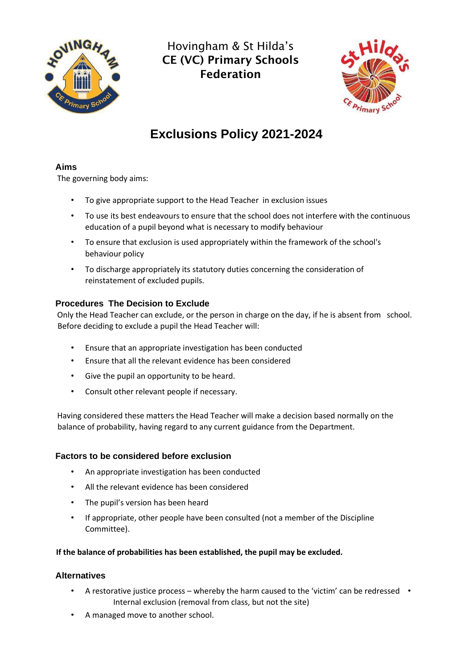

Hovingham & St Hilda's CE (VC) Primary Schools Federation



# **Exclusions Policy 2021-2024**

# **Aims**

The governing body aims:

- To give appropriate support to the Head Teacher in exclusion issues
- To use its best endeavours to ensure that the school does not interfere with the continuous education of a pupil beyond what is necessary to modify behaviour
- To ensure that exclusion is used appropriately within the framework of the school's behaviour policy
- To discharge appropriately its statutory duties concerning the consideration of reinstatement of excluded pupils.

# **Procedures The Decision to Exclude**

Only the Head Teacher can exclude, or the person in charge on the day, if he is absent from school. Before deciding to exclude a pupil the Head Teacher will:

- Ensure that an appropriate investigation has been conducted
- Ensure that all the relevant evidence has been considered
- Give the pupil an opportunity to be heard.
- Consult other relevant people if necessary.

Having considered these matters the Head Teacher will make a decision based normally on the balance of probability, having regard to any current guidance from the Department.

# **Factors to be considered before exclusion**

- An appropriate investigation has been conducted
- All the relevant evidence has been considered
- The pupil's version has been heard
- If appropriate, other people have been consulted (not a member of the Discipline Committee).

**If the balance of probabilities has been established, the pupil may be excluded.** 

# **Alternatives**

- A restorative justice process whereby the harm caused to the 'victim' can be redressed Internal exclusion (removal from class, but not the site)
- A managed move to another school.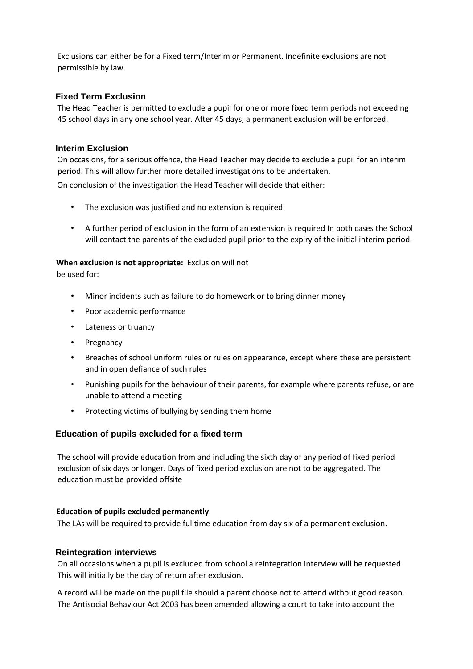Exclusions can either be for a Fixed term/Interim or Permanent. Indefinite exclusions are not permissible by law.

#### **Fixed Term Exclusion**

The Head Teacher is permitted to exclude a pupil for one or more fixed term periods not exceeding 45 school days in any one school year. After 45 days, a permanent exclusion will be enforced.

#### **Interim Exclusion**

On occasions, for a serious offence, the Head Teacher may decide to exclude a pupil for an interim period. This will allow further more detailed investigations to be undertaken.

On conclusion of the investigation the Head Teacher will decide that either:

- The exclusion was justified and no extension is required
- A further period of exclusion in the form of an extension is required In both cases the School will contact the parents of the excluded pupil prior to the expiry of the initial interim period.

#### **When exclusion is not appropriate:** Exclusion will not

be used for:

- Minor incidents such as failure to do homework or to bring dinner money
- Poor academic performance
- Lateness or truancy
- Pregnancy
- Breaches of school uniform rules or rules on appearance, except where these are persistent and in open defiance of such rules
- Punishing pupils for the behaviour of their parents, for example where parents refuse, or are unable to attend a meeting
- Protecting victims of bullying by sending them home

# **Education of pupils excluded for a fixed term**

The school will provide education from and including the sixth day of any period of fixed period exclusion of six days or longer. Days of fixed period exclusion are not to be aggregated. The education must be provided offsite

#### **Education of pupils excluded permanently**

The LAs will be required to provide fulltime education from day six of a permanent exclusion.

#### **Reintegration interviews**

On all occasions when a pupil is excluded from school a reintegration interview will be requested. This will initially be the day of return after exclusion.

A record will be made on the pupil file should a parent choose not to attend without good reason. The Antisocial Behaviour Act 2003 has been amended allowing a court to take into account the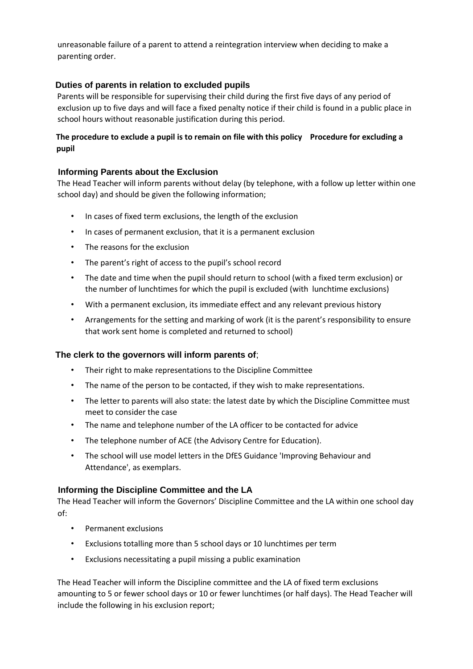unreasonable failure of a parent to attend a reintegration interview when deciding to make a parenting order.

# **Duties of parents in relation to excluded pupils**

Parents will be responsible for supervising their child during the first five days of any period of exclusion up to five days and will face a fixed penalty notice if their child is found in a public place in school hours without reasonable justification during this period.

# **The procedure to exclude a pupil is to remain on file with this policy Procedure for excluding a pupil**

# **Informing Parents about the Exclusion**

The Head Teacher will inform parents without delay (by telephone, with a follow up letter within one school day) and should be given the following information;

- In cases of fixed term exclusions, the length of the exclusion
- In cases of permanent exclusion, that it is a permanent exclusion
- The reasons for the exclusion
- The parent's right of access to the pupil's school record
- The date and time when the pupil should return to school (with a fixed term exclusion) or the number of lunchtimes for which the pupil is excluded (with lunchtime exclusions)
- With a permanent exclusion, its immediate effect and any relevant previous history
- Arrangements for the setting and marking of work (it is the parent's responsibility to ensure that work sent home is completed and returned to school)

# **The clerk to the governors will inform parents of**;

- Their right to make representations to the Discipline Committee
- The name of the person to be contacted, if they wish to make representations.
- The letter to parents will also state: the latest date by which the Discipline Committee must meet to consider the case
- The name and telephone number of the LA officer to be contacted for advice
- The telephone number of ACE (the Advisory Centre for Education).
- The school will use model letters in the DfES Guidance 'Improving Behaviour and Attendance', as exemplars.

# **Informing the Discipline Committee and the LA**

The Head Teacher will inform the Governors' Discipline Committee and the LA within one school day of:

- Permanent exclusions
- Exclusions totalling more than 5 school days or 10 lunchtimes per term
- Exclusions necessitating a pupil missing a public examination

The Head Teacher will inform the Discipline committee and the LA of fixed term exclusions amounting to 5 or fewer school days or 10 or fewer lunchtimes (or half days). The Head Teacher will include the following in his exclusion report;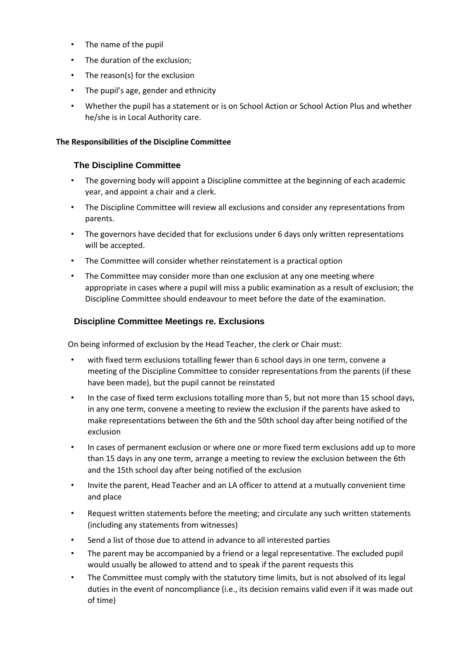- The name of the pupil
- The duration of the exclusion;
- The reason(s) for the exclusion
- The pupil's age, gender and ethnicity
- Whether the pupil has a statement or is on School Action or School Action Plus and whether he/she is in Local Authority care.

# **The Responsibilities of the Discipline Committee**

# **The Discipline Committee**

- The governing body will appoint a Discipline committee at the beginning of each academic year, and appoint a chair and a clerk.
- The Discipline Committee will review all exclusions and consider any representations from parents.
- The governors have decided that for exclusions under 6 days only written representations will be accepted.
- The Committee will consider whether reinstatement is a practical option
- The Committee may consider more than one exclusion at any one meeting where appropriate in cases where a pupil will miss a public examination as a result of exclusion; the Discipline Committee should endeavour to meet before the date of the examination.

# **Discipline Committee Meetings re. Exclusions**

On being informed of exclusion by the Head Teacher, the clerk or Chair must:

- with fixed term exclusions totalling fewer than 6 school days in one term, convene a meeting of the Discipline Committee to consider representations from the parents (if these have been made), but the pupil cannot be reinstated
- In the case of fixed term exclusions totalling more than 5, but not more than 15 school days, in any one term, convene a meeting to review the exclusion if the parents have asked to make representations between the 6th and the 50th school day after being notified of the exclusion
- In cases of permanent exclusion or where one or more fixed term exclusions add up to more than 15 days in any one term, arrange a meeting to review the exclusion between the 6th and the 15th school day after being notified of the exclusion
- Invite the parent, Head Teacher and an LA officer to attend at a mutually convenient time and place
- Request written statements before the meeting; and circulate any such written statements (including any statements from witnesses)
- Send a list of those due to attend in advance to all interested parties
- The parent may be accompanied by a friend or a legal representative. The excluded pupil would usually be allowed to attend and to speak if the parent requests this
- The Committee must comply with the statutory time limits, but is not absolved of its legal duties in the event of noncompliance (i.e., its decision remains valid even if it was made out of time)